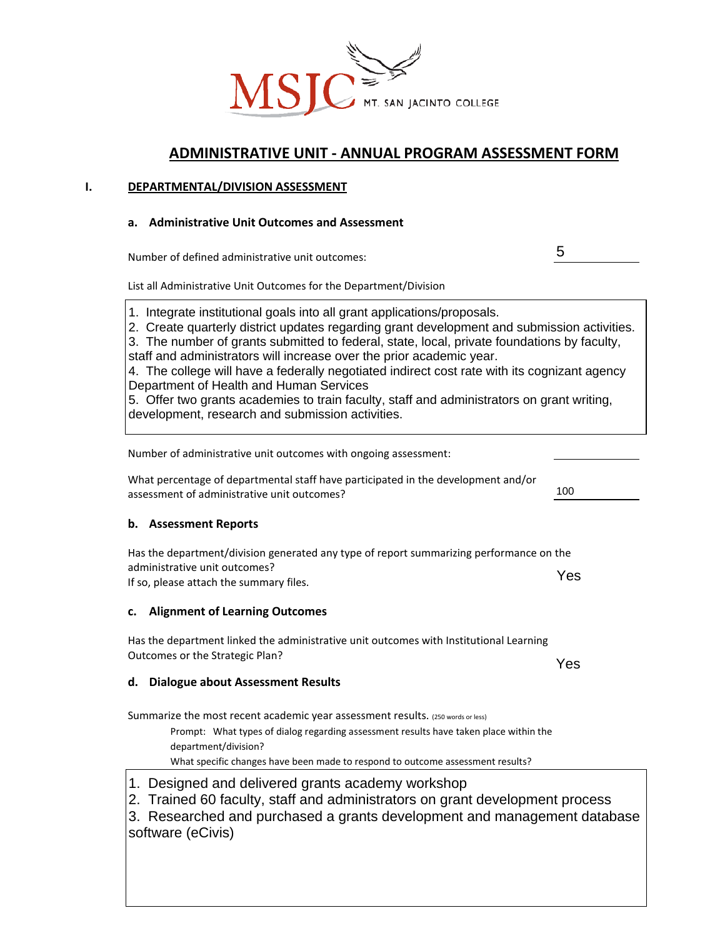

# **ADMINISTRATIVE UNIT - ANNUAL PROGRAM ASSESSMENT FORM**

# **I. DEPARTMENTAL/DIVISION ASSESSMENT**

# **a. Administrative Unit Outcomes and Assessment**

Number of defined administrative unit outcomes:

List all Administrative Unit Outcomes for the Department/Division

1. Integrate institutional goals into all grant applications/proposals.

2. Create quarterly district updates regarding grant development and submission activities.

3. The number of grants submitted to federal, state, local, private foundations by faculty, staff and administrators will increase over the prior academic year.

4. The college will have a federally negotiated indirect cost rate with its cognizant agency Department of Health and Human Services

5. Offer two grants academies to train faculty, staff and administrators on grant writing, development, research and submission activities.

Number of administrative unit outcomes with ongoing assessment:

What percentage of departmental staff have participated in the development and/or assessment of administrative unit outcomes?

# **b. Assessment Reports**

Has the department/division generated any type of report summarizing performance on the administrative unit outcomes?

If so, please attach the summary files.

# **c. Alignment of Learning Outcomes**

Has the department linked the administrative unit outcomes with Institutional Learning Outcomes or the Strategic Plan?

**d. Dialogue about Assessment Results**

Summarize the most recent academic year assessment results. (250 words or less)

Prompt: What types of dialog regarding assessment results have taken place within the department/division?

What specific changes have been made to respond to outcome assessment results?

1. Designed and delivered grants academy workshop

2. Trained 60 faculty, staff and administrators on grant development process

3. Researched and purchased a grants development and management database software (eCivis)

Yes

100

5

Yes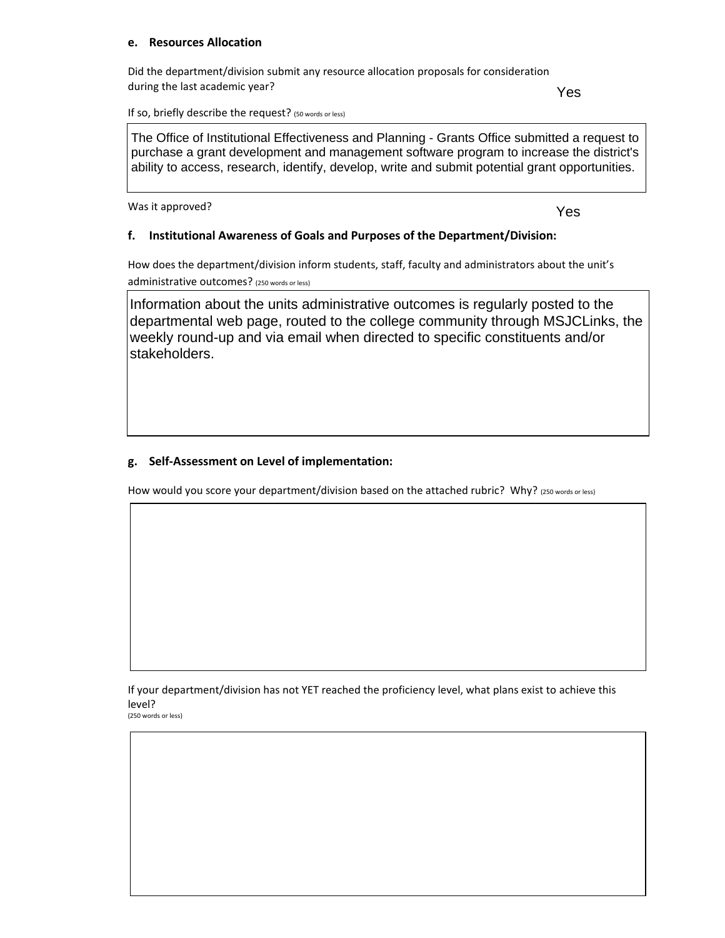# **e. Resources Allocation**

Did the department/division submit any resource allocation proposals for consideration during the last academic year?

Yes

If so, briefly describe the request? (50 words or less)

The Office of Institutional Effectiveness and Planning - Grants Office submitted a request to purchase a grant development and management software program to increase the district's ability to access, research, identify, develop, write and submit potential grant opportunities.

Was it approved?

Yes

# **f. Institutional Awareness of Goals and Purposes of the Department/Division:**

How does the department/division inform students, staff, faculty and administrators about the unit's administrative outcomes? (250 words or less)

Information about the units administrative outcomes is regularly posted to the departmental web page, routed to the college community through MSJCLinks, the weekly round-up and via email when directed to specific constituents and/or stakeholders.

# **g. Self-Assessment on Level of implementation:**

How would you score your department/division based on the attached rubric? Why? (250 words or less)

If your department/division has not YET reached the proficiency level, what plans exist to achieve this level?<br>(250 words or less)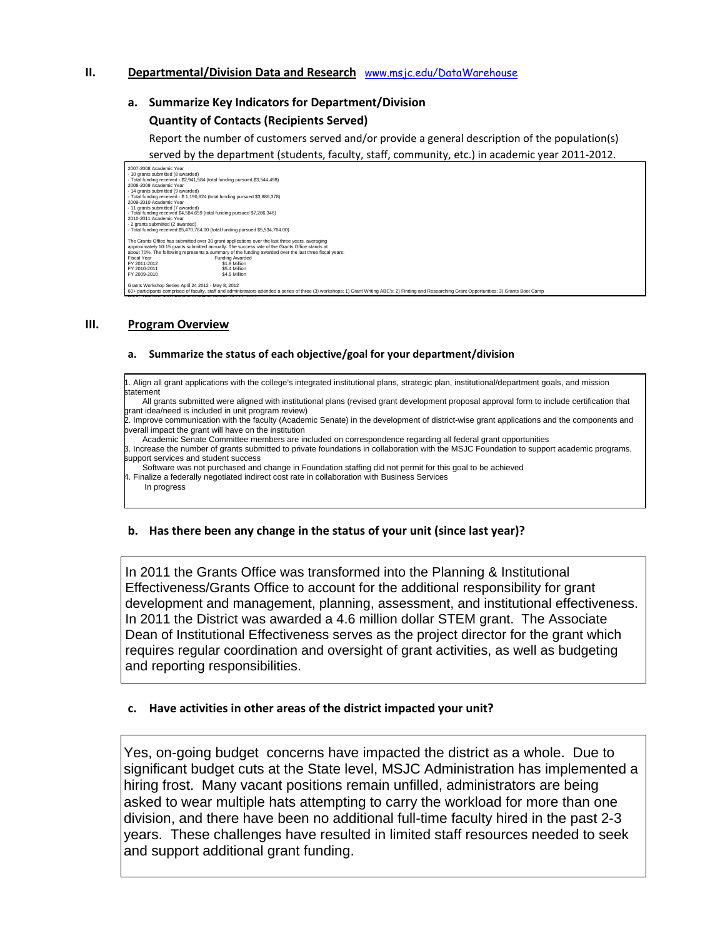# **II. Departmental/Division Data and Research** [www.msjc.edu/DataWarehouse](http://www.msjc.edu/DataWarehouse)

### **a. Summarize Key Indicators for Department/Division**

### **Quantity of Contacts (Recipients Served)**

Report the number of customers served and/or provide a general description of the population(s)

served by the department (students, faculty, staff, community, etc.) in academic year 2011-2012.

**b.** 2009 Academic Year<br>14 grants submitted (9 awarded) - Total furtuing received ఫ•ң၁၀•ң၀၁૭ (total furtuing pursued *ఫт.2*00,၁•ю)<br>2010-2011 Academic Year<br>- 2 acade submitted (2 awarded) - Total lunding received so, 470, ro4.00 (total lunding pursued so, 5.54, ro4.00)<br>The Grants Office has submitted over 30 grant applications over the last three years, averaging<br>approximately 10-15 grants submitted annuall Were there any significant differences in the numbers served from the numbers served from the numbers served f<br>Numbers served from the fall to spring semesters? (250 words or less) FY 2010-2011 \$5.4 Million FY 2009-2010 \$4.5 Million 2007-2008 Academic Year<br>- 10 grants submitted (8 aw - 10 grants submitted (8 awarded)<br>The Total funding received - \$2,941,584 (total funding pursued \$3,544,498)<br>2008-2009 Academic Year<br>- 14 grants submitted (9 awarded)<br>- Total funding received - \$ 1,190,824 (total funding p Eiscal Year<br>Fiscal Year Fiscal Year<br>FY 2011-2012 \$1.9 Million  $FY 2011-2012$ Grants Workshop Series April 24 2012 - May 8, 2012 ators attended a series of three (3) workshops: 1) Grant Writing ABC's; 2) Finding and Researching Grant Opportunities; 3) Grants Boot Cam

### **III. Program Overview**

MSJC Teaching and Learning Academy August 15 - 17, 2012

#### **a. Summarize the status of each objective/goal for your department/division**

1. Align all grant applications with the college's integrated institutional plans, strategic plan, institutional/department goals, and mission statement

 All grants submitted were aligned with institutional plans (revised grant development proposal approval form to include certification that grant idea/need is included in unit program review)

2. Improve communication with the faculty (Academic Senate) in the development of district-wise grant applications and the components and overall impact the grant will have on the institution

Academic Senate Committee members are included on correspondence regarding all federal grant opportunities

3. Increase the number of grants submitted to private foundations in collaboration with the MSJC Foundation to support academic programs, support services and student success

Software was not purchased and change in Foundation staffing did not permit for this goal to be achieved

4. Finalize a federally negotiated indirect cost rate in collaboration with Business Services In progress

### **b. Has there been any change in the status of your unit (since last year)?**

In 2011 the Grants Office was transformed into the Planning & Institutional Effectiveness/Grants Office to account for the additional responsibility for grant development and management, planning, assessment, and institutional effectiveness. In 2011 the District was awarded a 4.6 million dollar STEM grant. The Associate Dean of Institutional Effectiveness serves as the project director for the grant which requires regular coordination and oversight of grant activities, as well as budgeting and reporting responsibilities.

### **c. Have activities in other areas of the district impacted your unit?**

Yes, on-going budget concerns have impacted the district as a whole. Due to significant budget cuts at the State level, MSJC Administration has implemented a hiring frost. Many vacant positions remain unfilled, administrators are being asked to wear multiple hats attempting to carry the workload for more than one division, and there have been no additional full-time faculty hired in the past 2-3 years. These challenges have resulted in limited staff resources needed to seek and support additional grant funding.